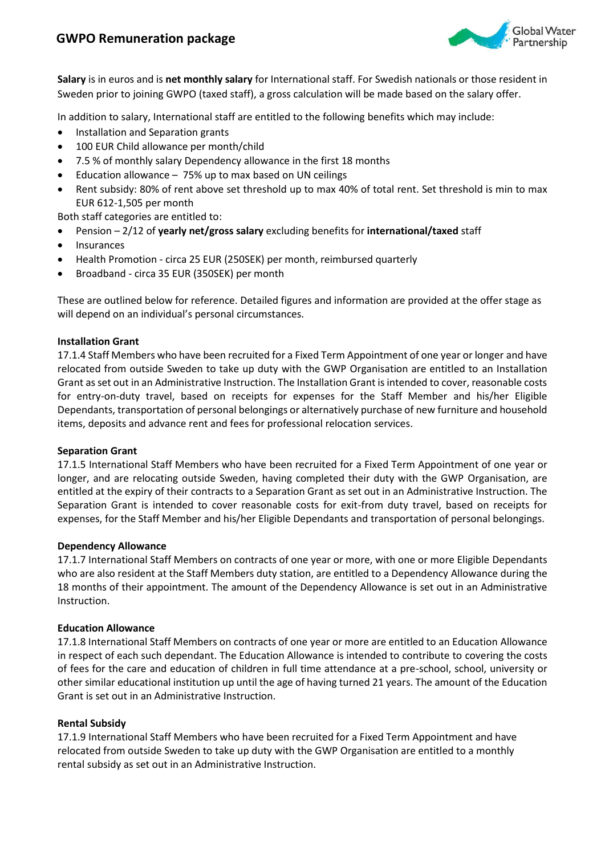# **GWPO Remuneration package**



**Salary** is in euros and is **net monthly salary** for International staff. For Swedish nationals or those resident in Sweden prior to joining GWPO (taxed staff), a gross calculation will be made based on the salary offer.

In addition to salary, International staff are entitled to the following benefits which may include:

- Installation and Separation grants
- 100 EUR Child allowance per month/child
- 7.5 % of monthly salary Dependency allowance in the first 18 months
- Education allowance 75% up to max based on UN ceilings
- Rent subsidy: 80% of rent above set threshold up to max 40% of total rent. Set threshold is min to max EUR 612-1,505 per month

Both staff categories are entitled to:

- Pension 2/12 of **yearly net/gross salary** excluding benefits for **international/taxed** staff
- Insurances
- Health Promotion circa 25 EUR (250SEK) per month, reimbursed quarterly
- Broadband circa 35 EUR (350SEK) per month

These are outlined below for reference. Detailed figures and information are provided at the offer stage as will depend on an individual's personal circumstances.

### **Installation Grant**

17.1.4 Staff Members who have been recruited for a Fixed Term Appointment of one year or longer and have relocated from outside Sweden to take up duty with the GWP Organisation are entitled to an Installation Grant as set out in an Administrative Instruction. The Installation Grant is intended to cover, reasonable costs for entry-on-duty travel, based on receipts for expenses for the Staff Member and his/her Eligible Dependants, transportation of personal belongings or alternatively purchase of new furniture and household items, deposits and advance rent and fees for professional relocation services.

## **Separation Grant**

17.1.5 International Staff Members who have been recruited for a Fixed Term Appointment of one year or longer, and are relocating outside Sweden, having completed their duty with the GWP Organisation, are entitled at the expiry of their contracts to a Separation Grant as set out in an Administrative Instruction. The Separation Grant is intended to cover reasonable costs for exit-from duty travel, based on receipts for expenses, for the Staff Member and his/her Eligible Dependants and transportation of personal belongings.

#### **Dependency Allowance**

17.1.7 International Staff Members on contracts of one year or more, with one or more Eligible Dependants who are also resident at the Staff Members duty station, are entitled to a Dependency Allowance during the 18 months of their appointment. The amount of the Dependency Allowance is set out in an Administrative Instruction.

## **Education Allowance**

17.1.8 International Staff Members on contracts of one year or more are entitled to an Education Allowance in respect of each such dependant. The Education Allowance is intended to contribute to covering the costs of fees for the care and education of children in full time attendance at a pre-school, school, university or other similar educational institution up until the age of having turned 21 years. The amount of the Education Grant is set out in an Administrative Instruction.

## **Rental Subsidy**

17.1.9 International Staff Members who have been recruited for a Fixed Term Appointment and have relocated from outside Sweden to take up duty with the GWP Organisation are entitled to a monthly rental subsidy as set out in an Administrative Instruction.